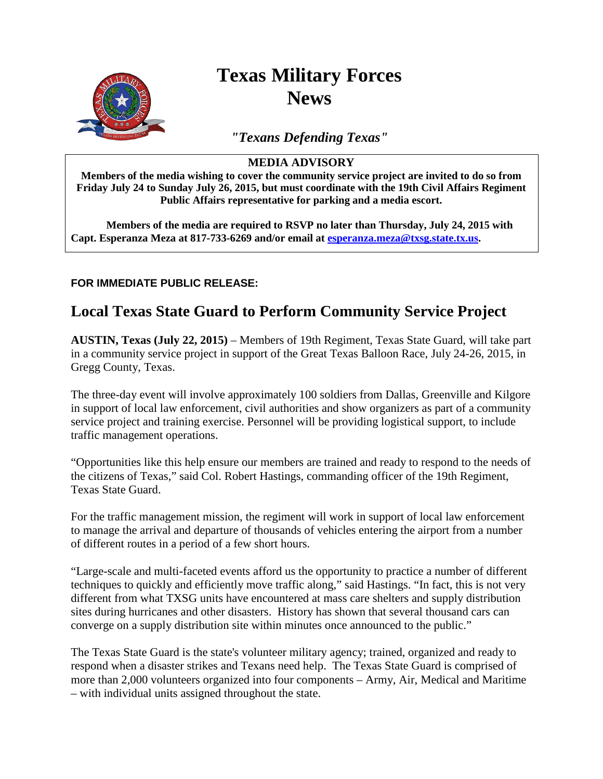

# **Texas Military Forces News**

*"Texans Defending Texas"*

### **MEDIA ADVISORY**

**Members of the media wishing to cover the community service project are invited to do so from Friday July 24 to Sunday July 26, 2015, but must coordinate with the 19th Civil Affairs Regiment Public Affairs representative for parking and a media escort.**

**Members of the media are required to RSVP no later than Thursday, July 24, 2015 with Capt. Esperanza Meza at 817-733-6269 and/or email at [esperanza.meza@txsg.state.tx.us.](mailto:esperanza.meza@txsg.state.tx.us)**

### **FOR IMMEDIATE PUBLIC RELEASE:**

## **Local Texas State Guard to Perform Community Service Project**

**AUSTIN, Texas (July 22, 2015)** – Members of 19th Regiment, Texas State Guard, will take part in a community service project in support of the Great Texas Balloon Race, July 24-26, 2015, in Gregg County, Texas.

The three-day event will involve approximately 100 soldiers from Dallas, Greenville and Kilgore in support of local law enforcement, civil authorities and show organizers as part of a community service project and training exercise. Personnel will be providing logistical support, to include traffic management operations.

"Opportunities like this help ensure our members are trained and ready to respond to the needs of the citizens of Texas," said Col. Robert Hastings, commanding officer of the 19th Regiment, Texas State Guard.

For the traffic management mission, the regiment will work in support of local law enforcement to manage the arrival and departure of thousands of vehicles entering the airport from a number of different routes in a period of a few short hours.

"Large-scale and multi-faceted events afford us the opportunity to practice a number of different techniques to quickly and efficiently move traffic along," said Hastings. "In fact, this is not very different from what TXSG units have encountered at mass care shelters and supply distribution sites during hurricanes and other disasters. History has shown that several thousand cars can converge on a supply distribution site within minutes once announced to the public."

The Texas State Guard is the state's volunteer military agency; trained, organized and ready to respond when a disaster strikes and Texans need help. The Texas State Guard is comprised of more than 2,000 volunteers organized into four components – Army, Air, Medical and Maritime – with individual units assigned throughout the state.